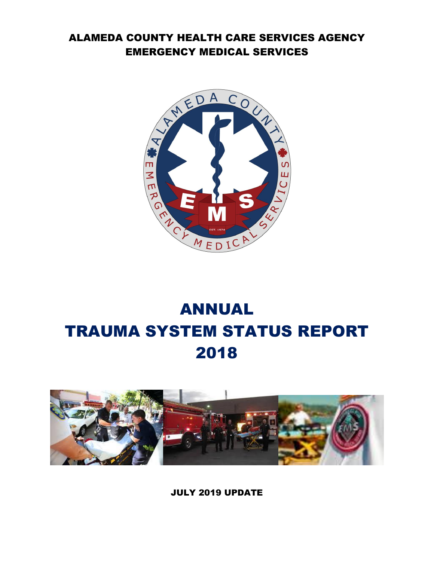# ALAMEDA COUNTY HEALTH CARE SERVICES AGENCY EMERGENCY MEDICAL SERVICES



# ANNUAL TRAUMA SYSTEM STATUS REPORT 2018



JULY 2019 UPDATE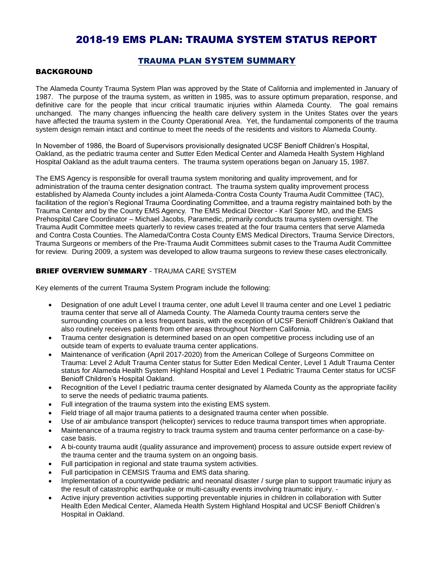## 2018-19 EMS PLAN: TRAUMA SYSTEM STATUS REPORT

## TRAUMA PLAN SYSTEM SUMMARY

#### BACKGROUND

The Alameda County Trauma System Plan was approved by the State of California and implemented in January of 1987. The purpose of the trauma system, as written in 1985, was to assure optimum preparation, response, and definitive care for the people that incur critical traumatic injuries within Alameda County. The goal remains unchanged. The many changes influencing the health care delivery system in the Unites States over the years have affected the trauma system in the County Operational Area. Yet, the fundamental components of the trauma system design remain intact and continue to meet the needs of the residents and visitors to Alameda County.

In November of 1986, the Board of Supervisors provisionally designated UCSF Benioff Children's Hospital, Oakland, as the pediatric trauma center and Sutter Eden Medical Center and Alameda Health System Highland Hospital Oakland as the adult trauma centers. The trauma system operations began on January 15, 1987.

The EMS Agency is responsible for overall trauma system monitoring and quality improvement, and for administration of the trauma center designation contract. The trauma system quality improvement process established by Alameda County includes a joint Alameda-Contra Costa County Trauma Audit Committee (TAC), facilitation of the region's Regional Trauma Coordinating Committee, and a trauma registry maintained both by the Trauma Center and by the County EMS Agency. The EMS Medical Director - Karl Sporer MD, and the EMS Prehospital Care Coordinator – Michael Jacobs, Paramedic, primarily conducts trauma system oversight. The Trauma Audit Committee meets quarterly to review cases treated at the four trauma centers that serve Alameda and Contra Costa Counties. The Alameda/Contra Costa County EMS Medical Directors, Trauma Service Directors, Trauma Surgeons or members of the Pre-Trauma Audit Committees submit cases to the Trauma Audit Committee for review. During 2009, a system was developed to allow trauma surgeons to review these cases electronically.

## **BRIEF OVERVIEW SUMMARY - TRAUMA CARE SYSTEM**

Key elements of the current Trauma System Program include the following:

- Designation of one adult Level I trauma center, one adult Level II trauma center and one Level 1 pediatric trauma center that serve all of Alameda County. The Alameda County trauma centers serve the surrounding counties on a less frequent basis, with the exception of UCSF Benioff Children's Oakland that also routinely receives patients from other areas throughout Northern California.
- Trauma center designation is determined based on an open competitive process including use of an outside team of experts to evaluate trauma center applications.
- Maintenance of verification (April 2017-2020) from the American College of Surgeons Committee on Trauma: Level 2 Adult Trauma Center status for Sutter Eden Medical Center, Level 1 Adult Trauma Center status for Alameda Health System Highland Hospital and Level 1 Pediatric Trauma Center status for UCSF Benioff Children's Hospital Oakland.
- Recognition of the Level I pediatric trauma center designated by Alameda County as the appropriate facility to serve the needs of pediatric trauma patients.
- Full integration of the trauma system into the existing EMS system.
- Field triage of all major trauma patients to a designated trauma center when possible.
- Use of air ambulance transport (helicopter) services to reduce trauma transport times when appropriate.
- Maintenance of a trauma registry to track trauma system and trauma center performance on a case-bycase basis.
- A bi-county trauma audit (quality assurance and improvement) process to assure outside expert review of the trauma center and the trauma system on an ongoing basis.
- Full participation in regional and state trauma system activities.
- Full participation in CEMSIS Trauma and EMS data sharing.
- Implementation of a countywide pediatric and neonatal disaster / surge plan to support traumatic injury as the result of catastrophic earthquake or multi-casualty events involving traumatic injury. -
- Active injury prevention activities supporting preventable injuries in children in collaboration with Sutter Health Eden Medical Center, Alameda Health System Highland Hospital and UCSF Benioff Children's Hospital in Oakland.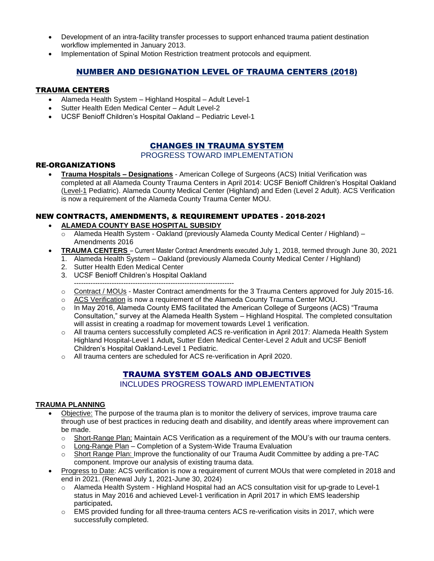- Development of an intra-facility transfer processes to support enhanced trauma patient destination workflow implemented in January 2013.
- Implementation of Spinal Motion Restriction treatment protocols and equipment.

## NUMBER AND DESIGNATION LEVEL OF TRAUMA CENTERS (2018)

## TRAUMA CENTERS

- Alameda Health System Highland Hospital Adult Level-1
- Sutter Health Eden Medical Center Adult Level-2
- UCSF Benioff Children's Hospital Oakland Pediatric Level-1

## CHANGES IN TRAUMA SYSTEM

#### PROGRESS TOWARD IMPLEMENTATION

## RE-ORGANIZATIONS

 **Trauma Hospitals – Designations** - American College of Surgeons (ACS) Initial Verification was completed at all Alameda County Trauma Centers in April 2014: UCSF Benioff Children's Hospital Oakland (Level-1 Pediatric). Alameda County Medical Center (Highland) and Eden (Level 2 Adult). ACS Verification is now a requirement of the Alameda County Trauma Center MOU.

## NEW CONTRACTS, AMENDMENTS, & REQUIREMENT UPDATES - 2018-2021

- **ALAMEDA COUNTY BASE HOSPITAL SUBSIDY**
	- $\overline{\circ}$  Alameda Health System Oakland (previously Alameda County Medical Center / Highland) Amendments 2016
- **TRAUMA CENTERS** Current Master Contract Amendments executed July 1, 2018, termed through June 30, 2021
	- 1. Alameda Health System Oakland (previously Alameda County Medical Center / Highland)
	- 2. Sutter Health Eden Medical Center
	- 3. UCSF Benioff Children's Hospital Oakland
	- --------------------------------------------------------------------
	- o Contract / MOUs Master Contract amendments for the 3 Trauma Centers approved for July 2015-16.
	- $\circ$  ACS Verification is now a requirement of the Alameda County Trauma Center MOU.
	- o In May 2016, Alameda County EMS facilitated the American College of Surgeons (ACS) "Trauma Consultation," survey at the Alameda Health System – Highland Hospital. The completed consultation will assist in creating a roadmap for movement towards Level 1 verification.
	- o All trauma centers successfully completed ACS re-verification in April 2017: Alameda Health System Highland Hospital-Level 1 Adult**,** Sutter Eden Medical Center-Level 2 Adult and UCSF Benioff Children's Hospital Oakland-Level 1 Pediatric.
	- o All trauma centers are scheduled for ACS re-verification in April 2020.

## TRAUMA SYSTEM GOALS AND OBJECTIVES

INCLUDES PROGRESS TOWARD IMPLEMENTATION

## **TRAUMA PLANNING**

- Objective: The purpose of the trauma plan is to monitor the delivery of services, improve trauma care through use of best practices in reducing death and disability, and identify areas where improvement can be made.
	- o Short-Range Plan: Maintain ACS Verification as a requirement of the MOU's with our trauma centers.
	- o Long-Range Plan Completion of a System-Wide Trauma Evaluation
	- $\circ$  Short Range Plan: Improve the functionality of our Trauma Audit Committee by adding a pre-TAC component. Improve our analysis of existing trauma data.
- Progress to Date: ACS verification is now a requirement of current MOUs that were completed in 2018 and end in 2021. (Renewal July 1, 2021-June 30, 2024)
	- o Alameda Health System Highland Hospital had an ACS consultation visit for up-grade to Level-1 status in May 2016 and achieved Level-1 verification in April 2017 in which EMS leadership participated**.**
	- $\circ$  EMS provided funding for all three-trauma centers ACS re-verification visits in 2017, which were successfully completed.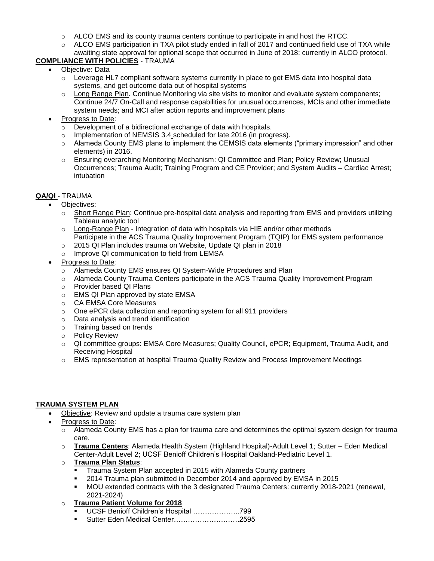- $\circ$  ALCO EMS and its county trauma centers continue to participate in and host the RTCC.
- $\circ$  ALCO EMS participation in TXA pilot study ended in fall of 2017 and continued field use of TXA while awaiting state approval for optional scope that occurred in June of 2018: currently in ALCO protocol.

## **COMPLIANCE WITH POLICIES** - TRAUMA

- Objective: Data
	- $\circ$  Leverage HL7 compliant software systems currently in place to get EMS data into hospital data systems, and get outcome data out of hospital systems
	- o Long Range Plan. Continue Monitoring via site visits to monitor and evaluate system components; Continue 24/7 On-Call and response capabilities for unusual occurrences, MCIs and other immediate system needs; and MCI after action reports and improvement plans
- Progress to Date:
	- o Development of a bidirectional exchange of data with hospitals.
	- o Implementation of NEMSIS 3.4 scheduled for late 2016 (in progress).
	- o Alameda County EMS plans to implement the CEMSIS data elements ("primary impression" and other elements) in 2016.
	- o Ensuring overarching Monitoring Mechanism: QI Committee and Plan; Policy Review; Unusual Occurrences; Trauma Audit; Training Program and CE Provider; and System Audits – Cardiac Arrest; intubation

## **QA/QI** - TRAUMA

- Objectives:
	- o Short Range Plan: Continue pre-hospital data analysis and reporting from EMS and providers utilizing Tableau analytic tool
	- $\circ$  Long-Range Plan Integration of data with hospitals via HIE and/or other methods Participate in the ACS Trauma Quality Improvement Program (TQIP) for EMS system performance
	- o 2015 QI Plan includes trauma on Website, Update QI plan in 2018
	- o Improve QI communication to field from LEMSA
- Progress to Date:
	- o Alameda County EMS ensures QI System-Wide Procedures and Plan
	- o Alameda County Trauma Centers participate in the ACS Trauma Quality Improvement Program
	- o Provider based QI Plans
	- o EMS QI Plan approved by state EMSA
	- o CA EMSA Core Measures
	- o One ePCR data collection and reporting system for all 911 providers
	- o Data analysis and trend identification
	- o Training based on trends
	- o Policy Review
	- o QI committee groups: EMSA Core Measures; Quality Council, ePCR; Equipment, Trauma Audit, and Receiving Hospital
	- o EMS representation at hospital Trauma Quality Review and Process Improvement Meetings

## **TRAUMA SYSTEM PLAN**

- Objective: Review and update a trauma care system plan
- Progress to Date:
	- $\circ$  Alameda County EMS has a plan for trauma care and determines the optimal system design for trauma care.
	- o **Trauma Centers**: Alameda Health System (Highland Hospital)-Adult Level 1; Sutter Eden Medical Center-Adult Level 2; UCSF Benioff Children's Hospital Oakland-Pediatric Level 1.
	- o **Trauma Plan Status**:
		- Trauma System Plan accepted in 2015 with Alameda County partners
		- 2014 Trauma plan submitted in December 2014 and approved by EMSA in 2015
		- MOU extended contracts with the 3 designated Trauma Centers: currently 2018-2021 (renewal, 2021-2024)
	- o **Trauma Patient Volume for 2018**
		- UCSF Benioff Children's Hospital ………………..799
		- Sutter Eden Medical Center……………………….2595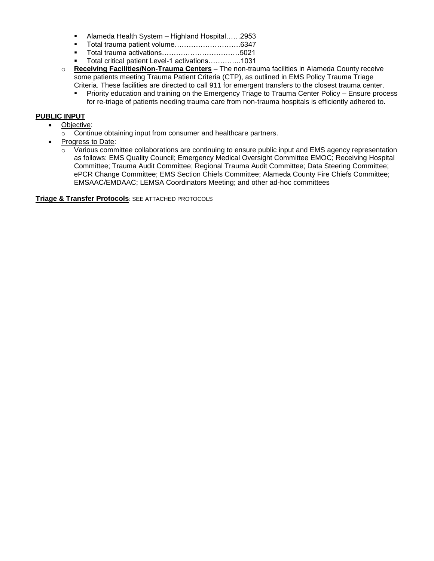- Alameda Health System Highland Hospital......2953
- Total trauma patient volume……………………….6347
- Total trauma activations……………………………5021
- Total critical patient Level-1 activations…………..1031
- o **Receiving Facilities/Non-Trauma Centers** The non-trauma facilities in Alameda County receive some patients meeting Trauma Patient Criteria (CTP), as outlined in EMS Policy Trauma Triage Criteria. These facilities are directed to call 911 for emergent transfers to the closest trauma center.
	- Priority education and training on the Emergency Triage to Trauma Center Policy Ensure process for re-triage of patients needing trauma care from non-trauma hospitals is efficiently adhered to.

#### **PUBLIC INPUT**

- Objective:
	- o Continue obtaining input from consumer and healthcare partners.
- Progress to Date:
	- $\circ$  Various committee collaborations are continuing to ensure public input and EMS agency representation as follows: EMS Quality Council; Emergency Medical Oversight Committee EMOC; Receiving Hospital Committee; Trauma Audit Committee; Regional Trauma Audit Committee; Data Steering Committee; ePCR Change Committee; EMS Section Chiefs Committee; Alameda County Fire Chiefs Committee; EMSAAC/EMDAAC; LEMSA Coordinators Meeting; and other ad-hoc committees

**Triage & Transfer Protocols**: SEE ATTACHED PROTOCOLS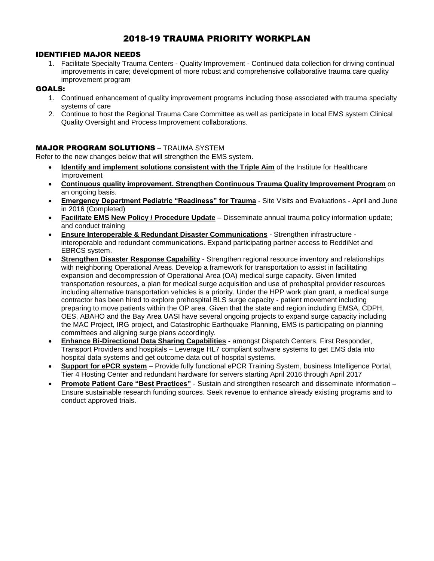## 2018-19 TRAUMA PRIORITY WORKPLAN

## IDENTIFIED MAJOR NEEDS

1. Facilitate Specialty Trauma Centers - Quality Improvement - Continued data collection for driving continual improvements in care; development of more robust and comprehensive collaborative trauma care quality improvement program

## GOALS:

- 1. Continued enhancement of quality improvement programs including those associated with trauma specialty systems of care
- 2. Continue to host the Regional Trauma Care Committee as well as participate in local EMS system Clinical Quality Oversight and Process Improvement collaborations.

## MAJOR PROGRAM SOLUTIONS – TRAUMA SYSTEM

Refer to the new changes below that will strengthen the EMS system.

- **Identify and implement solutions consistent with the Triple Aim** of the Institute for Healthcare Improvement
- **Continuous quality improvement. Strengthen Continuous Trauma Quality Improvement Program** on an ongoing basis.
- **Emergency Department Pediatric "Readiness" for Trauma** Site Visits and Evaluations April and June in 2016 (Completed)
- **Facilitate EMS New Policy / Procedure Update** Disseminate annual trauma policy information update; and conduct training
- **Ensure Interoperable & Redundant Disaster Communications** Strengthen infrastructure interoperable and redundant communications. Expand participating partner access to ReddiNet and EBRCS system.
- **Strengthen Disaster Response Capability** Strengthen regional resource inventory and relationships with neighboring Operational Areas. Develop a framework for transportation to assist in facilitating expansion and decompression of Operational Area (OA) medical surge capacity. Given limited transportation resources, a plan for medical surge acquisition and use of prehospital provider resources including alternative transportation vehicles is a priority. Under the HPP work plan grant, a medical surge contractor has been hired to explore prehospital BLS surge capacity - patient movement including preparing to move patients within the OP area. Given that the state and region including EMSA, CDPH, OES, ABAHO and the Bay Area UASI have several ongoing projects to expand surge capacity including the MAC Project, IRG project, and Catastrophic Earthquake Planning, EMS is participating on planning committees and aligning surge plans accordingly.
- **Enhance Bi-Directional Data Sharing Capabilities -** amongst Dispatch Centers, First Responder, Transport Providers and hospitals – Leverage HL7 compliant software systems to get EMS data into hospital data systems and get outcome data out of hospital systems.
- **Support for ePCR system** Provide fully functional ePCR Training System, business Intelligence Portal, Tier 4 Hosting Center and redundant hardware for servers starting April 2016 through April 2017
- **Promote Patient Care "Best Practices"** Sustain and strengthen research and disseminate information Ensure sustainable research funding sources. Seek revenue to enhance already existing programs and to conduct approved trials.